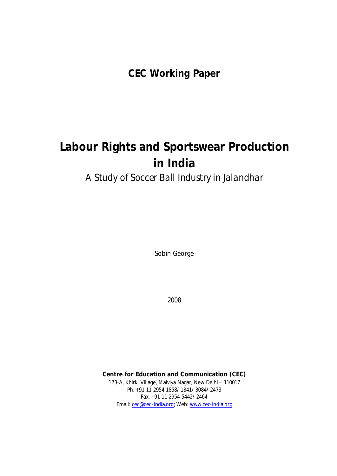**CEC Working Paper**

# **Labour Rights and Sportswear Production in India**

*A Study of Soccer Ball Industry in Jalandhar*

Sobin George

2008

**Centre for Education and Communication (CEC)** 173-A, Khirki Village, Malviya Nagar, New Delhi – 110017 Ph: +91 11 2954 1858/ 1841/ 3084/ 2473 Fax: +91 11 2954 5442/ 2464 Email: cec@cec-india.org; Web: www.cec-india.org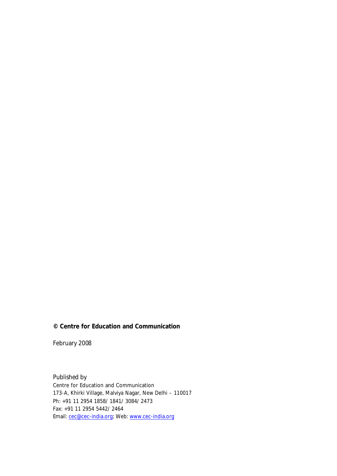## **© Centre for Education and Communication**

February 2008

*Published by*  Centre for Education and Communication 173-A, Khirki Village, Malviya Nagar, New Delhi – 110017 Ph: +91 11 2954 1858/ 1841/ 3084/ 2473 Fax: +91 11 2954 5442/ 2464 Email: cec@cec-india.org; Web: www.cec-india.org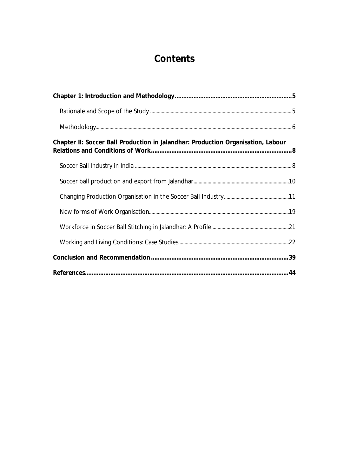## **Contents**

| Chapter II: Soccer Ball Production in Jalandhar: Production Organisation, Labour |  |
|----------------------------------------------------------------------------------|--|
|                                                                                  |  |
|                                                                                  |  |
|                                                                                  |  |
|                                                                                  |  |
|                                                                                  |  |
|                                                                                  |  |
|                                                                                  |  |
|                                                                                  |  |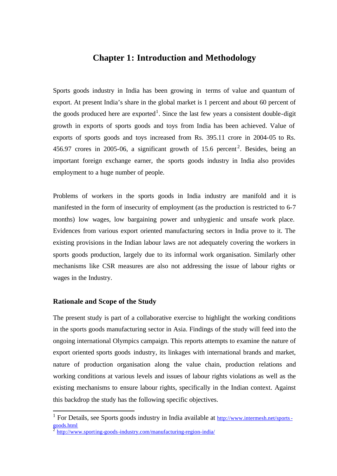## **Chapter 1: Introduction and Methodology**

Sports goods industry in India has been growing in terms of value and quantum of export. At present India's share in the global market is 1 percent and about 60 percent of the goods produced here are exported<sup>1</sup>. Since the last few years a consistent double-digit growth in exports of sports goods and toys from India has been achieved. Value of exports of sports goods and toys increased from Rs. 395.11 crore in 2004-05 to Rs. 456.97 crores in 2005-06, a significant growth of 15.6 percent<sup>2</sup>. Besides, being an important foreign exchange earner, the sports goods industry in India also provides employment to a huge number of people.

Problems of workers in the sports goods in India industry are manifold and it is manifested in the form of insecurity of employment (as the production is restricted to 6-7 months) low wages, low bargaining power and unhygienic and unsafe work place. Evidences from various export oriented manufacturing sectors in India prove to it. The existing provisions in the Indian labour laws are not adequately covering the workers in sports goods production, largely due to its informal work organisation. Similarly other mechanisms like CSR measures are also not addressing the issue of labour rights or wages in the Industry.

## **Rationale and Scope of the Study**

l

The present study is part of a collaborative exercise to highlight the working conditions in the sports goods manufacturing sector in Asia. Findings of the study will feed into the ongoing international Olympics campaign. This reports attempts to examine the nature of export oriented sports goods industry, its linkages with international brands and market, nature of production organisation along the value chain, production relations and working conditions at various levels and issues of labour rights violations as well as the existing mechanisms to ensure labour rights, specifically in the Indian context. Against this backdrop the study has the following specific objectives.

<sup>&</sup>lt;sup>1</sup> For Details, see Sports goods industry in India available at http://www.intermesh.net/sportsgoods.html 2 http://www.sporting-goods-industry.com/manufacturing-region-india/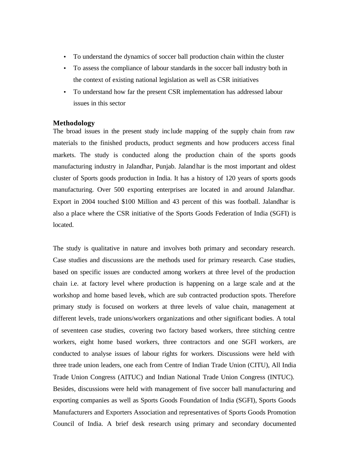- To understand the dynamics of soccer ball production chain within the cluster
- To assess the compliance of labour standards in the soccer ball industry both in the context of existing national legislation as well as CSR initiatives
- To understand how far the present CSR implementation has addressed labour issues in this sector

## **Methodology**

The broad issues in the present study include mapping of the supply chain from raw materials to the finished products, product segments and how producers access final markets. The study is conducted along the production chain of the sports goods manufacturing industry in Jalandhar, Punjab. Jalandhar is the most important and oldest cluster of Sports goods production in India. It has a history of 120 years of sports goods manufacturing. Over 500 exporting enterprises are located in and around Jalandhar. Export in 2004 touched \$100 Million and 43 percent of this was football. Jalandhar is also a place where the CSR initiative of the Sports Goods Federation of India (SGFI) is located.

The study is qualitative in nature and involves both primary and secondary research. Case studies and discussions are the methods used for primary research. Case studies, based on specific issues are conducted among workers at three level of the production chain i.e. at factory level where production is happening on a large scale and at the workshop and home based levels, which are sub contracted production spots. Therefore primary study is focused on workers at three levels of value chain, management at different levels, trade unions/workers organizations and other significant bodies. A total of seventeen case studies, covering two factory based workers, three stitching centre workers, eight home based workers, three contractors and one SGFI workers, are conducted to analyse issues of labour rights for workers. Discussions were held with three trade union leaders, one each from Centre of Indian Trade Union (CITU), All India Trade Union Congress (AITUC) and Indian National Trade Union Congress (INTUC). Besides, discussions were held with management of five soccer ball manufacturing and exporting companies as well as Sports Goods Foundation of India (SGFI), Sports Goods Manufacturers and Exporters Association and representatives of Sports Goods Promotion Council of India. A brief desk research using primary and secondary documented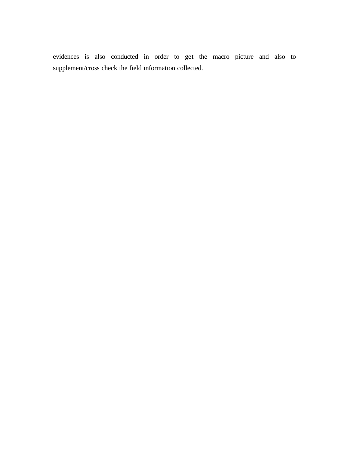evidences is also conducted in order to get the macro picture and also to supplement/cross check the field information collected.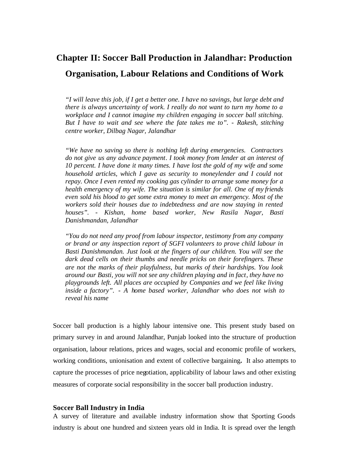## **Chapter II: Soccer Ball Production in Jalandhar: Production Organisation, Labour Relations and Conditions of Work**

*"I will leave this job, if I get a better one. I have no savings, but large debt and there is always uncertainty of work. I really do not want to turn my home to a workplace and I cannot imagine my children engaging in soccer ball stitching. But I have to wait and see where the fate takes me to".* - *Rakesh, stitching centre worker, Dilbag Nagar, Jalandhar*

*"We have no saving so there is nothing left during emergencies. Contractors do not give us any advance payment. I took money from lender at an interest of 10 percent. I have done it many times. I have lost the gold of my wife and some household articles, which I gave as security to moneylender and I could not repay. Once I even rented my cooking gas cylinder to arrange some money for a health emergency of my wife. The situation is similar for all. One of my friends even sold his blood to get some extra money to meet an emergency. Most of the workers sold their houses due to indebtedness and are now staying in rented houses".* - *Kishan, home based worker, New Rasila Nagar, Basti Danishmandan, Jalandhar*

*"You do not need any proof from labour inspector, testimony from any company or brand or any inspection report of SGFI volunteers to prove child labour in Basti Danishmandan. Just look at the fingers of our children. You will see the dark dead cells on their thumbs and needle pricks on their forefingers. These are not the marks of their playfulness, but marks of their hardships. You look around our Basti, you will not see any children playing and in fact, they have no playgrounds left. All places are occupied by Companies and we feel like living inside a factory".* - *A home based worker, Jalandhar who does not wish to reveal his name*

Soccer ball production is a highly labour intensive one. This present study based on primary survey in and around Jalandhar, Punjab looked into the structure of production organisation, labour relations, prices and wages, social and economic profile of workers, working conditions, unionisation and extent of collective bargaining**.** It also attempts to capture the processes of price negotiation, applicability of labour laws and other existing measures of corporate social responsibility in the soccer ball production industry.

### **Soccer Ball Industry in India**

A survey of literature and available industry information show that Sporting Goods industry is about one hundred and sixteen years old in India. It is spread over the length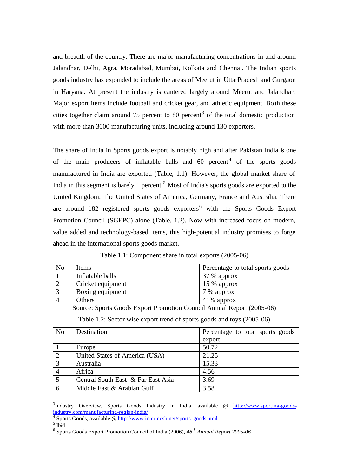and breadth of the country. There are major manufacturing concentrations in and around Jalandhar, Delhi, Agra, Moradabad, Mumbai, Kolkata and Chennai. The Indian sports goods industry has expanded to include the areas of Meerut in UttarPradesh and Gurgaon in Haryana. At present the industry is cantered largely around Meerut and Jalandhar. Major export items include football and cricket gear, and athletic equipment. Both these cities together claim around 75 percent to 80 percent<sup>3</sup> of the total domestic production with more than 3000 manufacturing units, including around 130 exporters.

The share of India in Sports goods export is notably high and after Pakistan India is one of the main producers of inflatable balls and  $60$  percent<sup>4</sup> of the sports goods manufactured in India are exported (Table, 1.1). However, the global market share of India in this segment is barely 1 percent.<sup>5</sup> Most of India's sports goods are exported to the United Kingdom, The United States of America, Germany, France and Australia. There are around 182 registered sports goods exporters<sup>6</sup> with the Sports Goods Export Promotion Council (SGEPC) alone (Table, 1.2). Now with increased focus on modern, value added and technology-based items, this high-potential industry promises to forge ahead in the international sports goods market.

| No | Items             | Percentage to total sports goods |
|----|-------------------|----------------------------------|
|    | Inflatable balls  | 37 % approx                      |
|    | Cricket equipment | $15%$ approx                     |
|    | Boxing equipment  | 7 % approx                       |
|    | Others            | 41\% approx                      |

Table 1.1: Component share in total exports (2005-06)

Source: Sports Goods Export Promotion Council Annual Report (2005-06)

|  |  |  |  |  | Table 1.2: Sector wise export trend of sports goods and toys (2005-06) |  |
|--|--|--|--|--|------------------------------------------------------------------------|--|
|  |  |  |  |  |                                                                        |  |

| N <sub>o</sub> | Destination                        | Percentage to total sports goods |
|----------------|------------------------------------|----------------------------------|
|                |                                    | export                           |
|                | Europe                             | 50.72                            |
| $\overline{2}$ | United States of America (USA)     | 21.25                            |
| 3              | Australia                          | 15.33                            |
|                | Africa                             | 4.56                             |
| 5              | Central South East & Far East Asia | 3.69                             |
|                | Middle East & Arabian Gulf         | 3.58                             |

<sup>&</sup>lt;sup>3</sup>Industry Overview, Sports Goods Industry in India, available @ http://www.sporting-goodsindustry.com/manufacturing-region-india/ 4

Sports Goods, available @ http://www.intermesh.net/sports-goods.html

 $<sup>5</sup>$  Ibid</sup>

<sup>6</sup> Sports Goods Export Promotion Council of India (2006), *48th Annual Report 2005-06*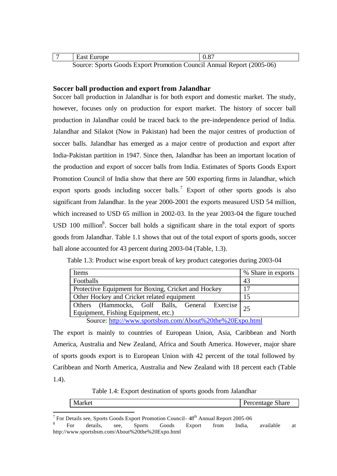| East Europe                                                        |  |
|--------------------------------------------------------------------|--|
| Course: Sports Goods Export Dramation Council Annual Deport (2005) |  |

Source: Sports Goods Export Promotion Council Annual Report (2005-06)

## **Soccer ball production and export from Jalandhar**

Soccer ball production in Jalandhar is for both export and domestic market. The study, however, focuses only on production for export market. The history of soccer ball production in Jalandhar could be traced back to the pre-independence period of India. Jalandhar and Silakot (Now in Pakistan) had been the major centres of production of soccer balls. Jalandhar has emerged as a major centre of production and export after India-Pakistan partition in 1947. Since then, Jalandhar has been an important location of the production and export of soccer balls from India. Estimates of Sports Goods Export Promotion Council of India show that there are 500 exporting firms in Jalandhar, which export sports goods including soccer balls.<sup>7</sup> Export of other sports goods is also significant from Jalandhar. In the year 2000-2001 the exports measured USD 54 million, which increased to USD 65 million in 2002-03. In the year 2003-04 the figure touched  $\text{USD } 100 \text{ million}^8$ . Soccer ball holds a significant share in the total export of sports goods from Jalandhar. Table 1.1 shows that out of the total export of sports goods, soccer ball alone accounted for 43 percent during 2003-04 (Table, 1.3).

| Table 1.3: Product wise export break of key product categories during 2003-04 |  |  |  |
|-------------------------------------------------------------------------------|--|--|--|
|-------------------------------------------------------------------------------|--|--|--|

| Items                                                                                                                    | % Share in exports |  |  |  |  |
|--------------------------------------------------------------------------------------------------------------------------|--------------------|--|--|--|--|
| Footballs                                                                                                                | -43                |  |  |  |  |
| Protective Equipment for Boxing, Cricket and Hockey                                                                      | 17                 |  |  |  |  |
| Other Hockey and Cricket related equipment                                                                               | 15                 |  |  |  |  |
| Others (Hammocks, Golf Balls, General Exercise 25                                                                        |                    |  |  |  |  |
| Equipment, Fishing Equipment, etc.)                                                                                      |                    |  |  |  |  |
| $\text{Source: } \frac{\text{http://www.sportekem.com/Ahou1\%2000}^{6}}{\text{http://www.sportekem.com/Ahou1\%200}^{6}}$ |                    |  |  |  |  |

Source: http://www.sportsbsm.com/About%20the%20Expo.html

The export is mainly to countries of European Union, Asia, Caribbean and North America, Australia and New Zealand, Africa and South America. However, major share of sports goods export is to European Union with 42 percent of the total followed by Caribbean and North America, Australia and New Zealand with 18 percent each (Table 1.4).

Table 1.4: Export destination of sports goods from Jalandhar

| маге<br>. 21 V F<br>. . | M<br>$-1$ | 0.042<br>---- |
|-------------------------|-----------|---------------|
|-------------------------|-----------|---------------|

<sup>7</sup> For Details see, Sports Goods Export Promotion Council -  $48^{th}$  Annual Report 2005-06

<sup>8</sup> For details, see, Sports Goods Export from India, available at http://www.sportsbsm.com/About%20the%20Expo.html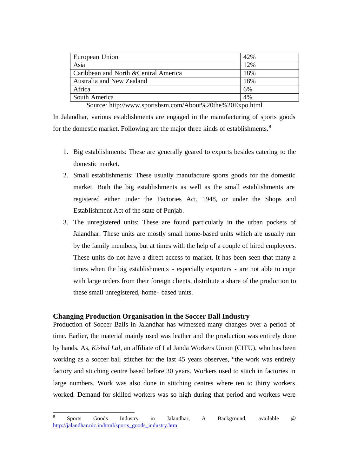| European Union                        | 42% |
|---------------------------------------|-----|
| Asia                                  | 12% |
| Caribbean and North & Central America | 18% |
| Australia and New Zealand             | 18% |
| Africa                                | 6%  |
| South America                         | 4%  |

Source: http://www.sportsbsm.com/About%20the%20Expo.html

In Jalandhar, various establishments are engaged in the manufacturing of sports goods for the domestic market. Following are the major three kinds of establishments.<sup>9</sup>

- 1. Big establishments: These are generally geared to exports besides catering to the domestic market.
- 2. Small establishments: These usually manufacture sports goods for the domestic market. Both the big establishments as well as the small establishments are registered either under the Factories Act, 1948, or under the Shops and Establishment Act of the state of Punjab.
- 3. The unregistered units: These are found particularly in the urban pockets of Jalandhar. These units are mostly small home-based units which are usually run by the family members, but at times with the help of a couple of hired employees. These units do not have a direct access to market. It has been seen that many a times when the big establishments - especially exporters - are not able to cope with large orders from their foreign clients, distribute a share of the production to these small unregistered, home- based units.

## **Changing Production Organisation in the Soccer Ball Industry**

l

Production of Soccer Balls in Jalandhar has witnessed many changes over a period of time. Earlier, the material mainly used was leather and the production was entirely done by hands. As, *Kishal Lal,* an affiliate of Lal Janda Workers Union (CITU), who has been working as a soccer ball stitcher for the last 45 years observes, "the work was entirely factory and stitching centre based before 30 years. Workers used to stitch in factories in large numbers. Work was also done in stitching centres where ten to thirty workers worked. Demand for skilled workers was so high during that period and workers were

<sup>9</sup> Sports Goods Industry in Jalandhar, A Background, available @ http://jalandhar.nic.in/html/sports\_goods\_industry.htm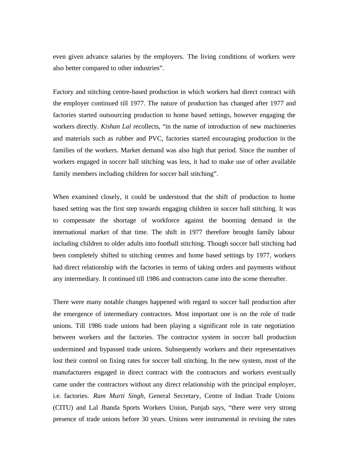even given advance salaries by the employers. The living conditions of workers were also better compared to other industries".

Factory and stitching centre-based production in which workers had direct contract with the employer continued till 1977. The nature of production has changed after 1977 and factories started outsourcing production to home based settings, however engaging the workers directly. *Kishan Lal* recollects, "in the name of introduction of new machineries and materials such as rubber and PVC, factories started encouraging production in the families of the workers. Market demand was also high that period. Since the number of workers engaged in soccer ball stitching was less, it had to make use of other available family members including children for soccer ball stitching".

When examined closely, it could be understood that the shift of production to home based setting was the first step towards engaging children in soccer ball stitching. It was to compensate the shortage of workforce against the booming demand in the international market of that time. The shift in 1977 therefore brought family labour including children to older adults into football stitching. Though soccer ball stitching had been completely shifted to stitching centres and home based settings by 1977, workers had direct relationship with the factories in terms of taking orders and payments without any intermediary. It continued till 1986 and contractors came into the scene thereafter.

There were many notable changes happened with regard to soccer ball production after the emergence of intermediary contractors. Most important one is on the role of trade unions. Till 1986 trade unions had been playing a significant role in rate negotiation between workers and the factories. The contractor system in soccer ball production undermined and bypassed trade unions. Subsequently workers and their representatives lost their control on fixing rates for soccer ball stitching. In the new system, most of the manufacturers engaged in direct contract with the contractors and workers eventually came under the contractors without any direct relationship with the principal employer, i.e. factories. *Ram Murti Singh*, General Secretary, Centre of Indian Trade Unions (CITU) and Lal Jhanda Sports Workers Union, Punjab says, "there were very strong presence of trade unions before 30 years. Unions were instrumental in revising the rates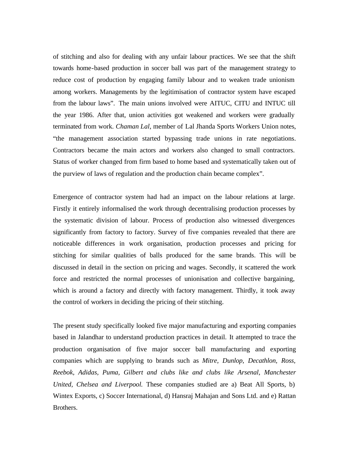of stitching and also for dealing with any unfair labour practices. We see that the shift towards home-based production in soccer ball was part of the management strategy to reduce cost of production by engaging family labour and to weaken trade unionism among workers. Managements by the legitimisation of contractor system have escaped from the labour laws". The main unions involved were AITUC, CITU and INTUC till the year 1986. After that, union activities got weakened and workers were gradually terminated from work. *Chaman Lal*, member of Lal Jhanda Sports Workers Union notes, "the management association started bypassing trade unions in rate negotiations. Contractors became the main actors and workers also changed to small contractors. Status of worker changed from firm based to home based and systematically taken out of the purview of laws of regulation and the production chain became complex".

Emergence of contractor system had had an impact on the labour relations at large. Firstly it entirely informalised the work through decentralising production processes by the systematic division of labour. Process of production also witnessed divergences significantly from factory to factory. Survey of five companies revealed that there are noticeable differences in work organisation, production processes and pricing for stitching for similar qualities of balls produced for the same brands. This will be discussed in detail in the section on pricing and wages. Secondly, it scattered the work force and restricted the normal processes of unionisation and collective bargaining, which is around a factory and directly with factory management. Thirdly, it took away the control of workers in deciding the pricing of their stitching.

The present study specifically looked five major manufacturing and exporting companies based in Jalandhar to understand production practices in detail. It attempted to trace the production organisation of five major soccer ball manufacturing and exporting companies which are supplying to brands such as *Mitre, Dunlop, Decathlon, Ross, Reebok, Adidas, Puma, Gilbert and clubs like and clubs like Arsenal, Manchester United, Chelsea and Liverpool.* These companies studied are a) Beat All Sports, b) Wintex Exports, c) Soccer International, d) Hansraj Mahajan and Sons Ltd. and e) Rattan Brothers.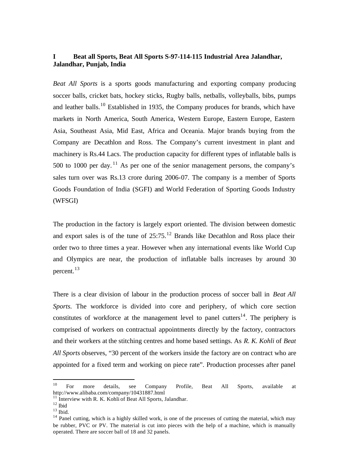## **I Beat all Sports, Beat All Sports S-97-114-115 Industrial Area Jalandhar, Jalandhar, Punjab, India**

*Beat All Sports* is a sports goods manufacturing and exporting company producing soccer balls, cricket bats, hockey sticks, Rugby balls, netballs, volleyballs, bibs, pumps and leather balls.<sup>10</sup> Established in 1935, the Company produces for brands, which have markets in North America, South America, Western Europe, Eastern Europe, Eastern Asia, Southeast Asia, Mid East, Africa and Oceania. Major brands buying from the Company are Decathlon and Ross. The Company's current investment in plant and machinery is Rs.44 Lacs. The production capacity for different types of inflatable balls is 500 to 1000 per day.<sup>11</sup> As per one of the senior management persons, the company's sales turn over was Rs.13 crore during 2006-07. The company is a member of Sports Goods Foundation of India (SGFI) and World Federation of Sporting Goods Industry (WFSGI)

The production in the factory is largely export oriented. The division between domestic and export sales is of the tune of  $25:75$ <sup>12</sup> Brands like Decathlon and Ross place their order two to three times a year. However when any international events like World Cup and Olympics are near, the production of inflatable balls increases by around 30 percent.<sup>13</sup>

There is a clear division of labour in the production process of soccer ball in *Beat All Sports.* The workforce is divided into core and periphery, of which core section constitutes of workforce at the management level to panel cutters<sup>14</sup>. The periphery is comprised of workers on contractual appointments directly by the factory, contractors and their workers at the stitching centres and home based settings. As *R. K. Kohli* of *Beat All Sports* observes, "30 percent of the workers inside the factory are on contract who are appointed for a fixed term and working on piece rate". Production processes after panel

 $10<sup>10</sup>$ <sup>10</sup> For more details, see Company Profile, Beat All Sports, available at http://www.alibaba.com/company/10431887.html

 $11$  Interview with R. K. Kohli of Beat All Sports, Jalandhar.

 $^{12}$  Ibid

 $13$  Ibid.

<sup>&</sup>lt;sup>14</sup> Panel cutting, which is a highly skilled work, is one of the processes of cutting the material, which may be rubber, PVC or PV. The material is cut into pieces with the help of a machine, which is manually operated. There are soccer ball of 18 and 32 panels.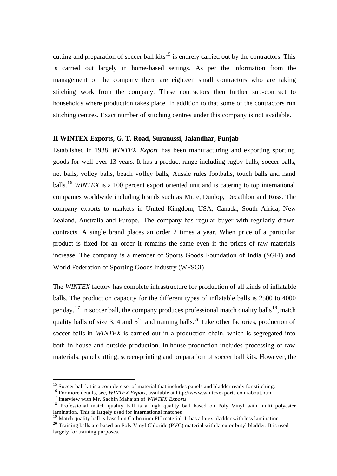cutting and preparation of soccer ball kits<sup>15</sup> is entirely carried out by the contractors. This is carried out largely in home-based settings. As per the information from the management of the company there are eighteen small contractors who are taking stitching work from the company. These contractors then further sub-contract to households where production takes place. In addition to that some of the contractors run stitching centres. Exact number of stitching centres under this company is not available.

## **II WINTEX Exports, G. T. Road, Suranussi, Jalandhar, Punjab**

Established in 1988 *WINTEX Export* has been manufacturing and exporting sporting goods for well over 13 years. It has a product range including rugby balls, soccer balls, net balls, volley balls, beach volley balls, Aussie rules footballs, touch balls and hand balls.<sup>16</sup> *WINTEX* is a 100 percent export oriented unit and is catering to top international companies worldwide including brands such as Mitre, Dunlop, Decathlon and Ross. The company exports to markets in United Kingdom, USA, Canada, South Africa, New Zealand, Australia and Europe. The company has regular buyer with regularly drawn contracts. A single brand places an order 2 times a year. When price of a particular product is fixed for an order it remains the same even if the prices of raw materials increase. The company is a member of Sports Goods Foundation of India (SGFI) and World Federation of Sporting Goods Industry (WFSGI)

The *WINTEX* factory has complete infrastructure for production of all kinds of inflatable balls. The production capacity for the different types of inflatable balls is 2500 to 4000 per day. <sup>17</sup> In soccer ball, the company produces professional match quality balls<sup>18</sup>, match quality balls of size 3, 4 and  $5^{19}$  and training balls.<sup>20</sup> Like other factories, production of soccer balls in *WINTEX* is carried out in a production chain, which is segregated into both in-house and outside production. In-house production includes processing of raw materials, panel cutting, screen-printing and preparation of soccer ball kits. However, the

<sup>&</sup>lt;sup>15</sup> Soccer ball kit is a complete set of material that includes panels and bladder ready for stitching.

<sup>16</sup> For more details, see, *WINTEX Export*, available at http://www.wintexexports.com/about.htm

<sup>17</sup> Interview with Mr. Sachin Mahajan of *WINTEX Exports*

<sup>&</sup>lt;sup>18</sup> Professional match quality ball is a high quality ball based on Poly Vinyl with multi polyester lamination. This is largely used for international matches

<sup>&</sup>lt;sup>19</sup> Match quality ball is based on Carbonium PU material. It has a latex bladder with less lamination.

<sup>&</sup>lt;sup>20</sup> Training balls are based on Poly Vinyl Chloride (PVC) material with latex or butyl bladder. It is used largely for training purposes.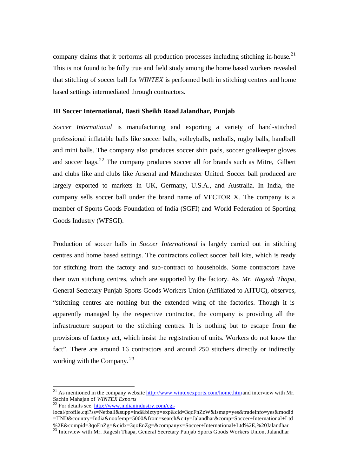company claims that it performs all production processes including stitching in-house.<sup>21</sup> This is not found to be fully true and field study among the home based workers revealed that stitching of soccer ball for *WINTEX* is performed both in stitching centres and home based settings intermediated through contractors.

## **III Soccer International, Basti Sheikh RoadJalandhar, Punjab**

*Soccer International* is manufacturing and exporting a variety of hand-stitched professional inflatable balls like soccer balls, volleyballs, netballs, rugby balls, handball and mini balls. The company also produces soccer shin pads, soccer goalkeeper gloves and soccer bags.<sup>22</sup> The company produces soccer all for brands such as Mitre, Gilbert and clubs like and clubs like Arsenal and Manchester United. Soccer ball produced are largely exported to markets in UK, Germany, U.S.A., and Australia. In India, the company sells soccer ball under the brand name of VECTOR X. The company is a member of Sports Goods Foundation of India (SGFI) and World Federation of Sporting Goods Industry (WFSGI).

Production of soccer balls in *Soccer International* is largely carried out in stitching centres and home based settings. The contractors collect soccer ball kits, which is ready for stitching from the factory and sub-contract to households. Some contractors have their own stitching centres, which are supported by the factory. As *Mr. Ragesh Thapa*, General Secretary Punjab Sports Goods Workers Union (Affiliated to AITUC), observes, "stitching centres are nothing but the extended wing of the factories. Though it is apparently managed by the respective contractor, the company is providing all the infrastructure support to the stitching centres. It is nothing but to escape from the provisions of factory act, which insist the registration of units. Workers do not know the fact". There are around 16 contractors and around 250 stitchers directly or indirectly working with the Company.<sup>23</sup>

<sup>&</sup>lt;sup>21</sup> As mentioned in the company website  $\frac{http://www.winterexports.com/home.htm}{http://www.winterexports.com/home.htm}$  and interview with Mr. Sachin Mahajan of *WINTEX Exports*

 $22$  For details see, http://www.indianindustry.com/cgi-

local/profile.cgi?ss=Netball&supp=ind&biztyp=exp&cid=3qcFnZzW&ismap=yes&tradeinfo=yes&modid =IIND&country=India&noofemp=5000&from=search&city=Jalandhar&comp=Soccer+International+Ltd %2E&compid=3qoEnZg=&cidx=3qoEnZg=&companyx=Soccer+International+Ltd%2E,%20Jalandhar

<sup>&</sup>lt;sup>23</sup> Interview with Mr. Ragesh Thapa, General Secretary Punjab Sports Goods Workers Union, Jalandhar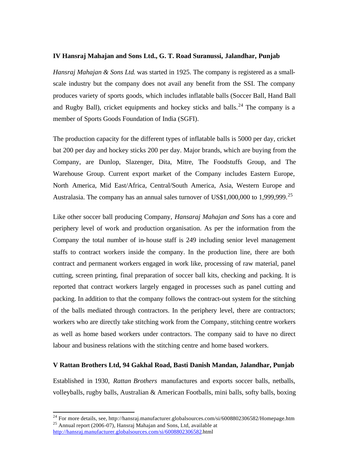## **IV Hansraj Mahajan and Sons Ltd., G. T. Road Suranussi, Jalandhar, Punjab**

*Hansraj Mahajan & Sons Ltd*. was started in 1925. The company is registered as a smallscale industry but the company does not avail any benefit from the SSI. The company produces variety of sports goods, which includes inflatable balls (Soccer Ball, Hand Ball and Rugby Ball), cricket equipments and hockey sticks and balls.<sup>24</sup> The company is a member of Sports Goods Foundation of India (SGFI).

The production capacity for the different types of inflatable balls is 5000 per day, cricket bat 200 per day and hockey sticks 200 per day. Major brands, which are buying from the Company, are Dunlop, Slazenger, Dita, Mitre, The Foodstuffs Group, and The Warehouse Group. Current export market of the Company includes Eastern Europe, North America, Mid East/Africa, Central/South America, Asia, Western Europe and Australasia. The company has an annual sales turnover of US\$1,000,000 to 1,999,999.<sup>25</sup>

Like other soccer ball producing Company, *Hansaraj Mahajan and Sons* has a core and periphery level of work and production organisation. As per the information from the Company the total number of in-house staff is 249 including senior level management staffs to contract workers inside the company. In the production line, there are both contract and permanent workers engaged in work like, processing of raw material, panel cutting, screen printing, final preparation of soccer ball kits, checking and packing. It is reported that contract workers largely engaged in processes such as panel cutting and packing. In addition to that the company follows the contract-out system for the stitching of the balls mediated through contractors. In the periphery level, there are contractors; workers who are directly take stitching work from the Company, stitching centre workers as well as home based workers under contractors. The company said to have no direct labour and business relations with the stitching centre and home based workers.

## **V Rattan Brothers Ltd, 94 Gakhal Road, Basti Danish Mandan, Jalandhar, Punjab**

Established in 1930, *Rattan Brothers* manufactures and exports soccer balls, netballs, volleyballs, rugby balls, Australian & American Footballs, mini balls, softy balls, boxing

 $^{24}$  For more details, see, http://hansraj.manufacturer.globalsources.com/si/6008802306582/Homepage.htm <sup>25</sup> Annual report (2006-07), Hansraj Mahajan and Sons, Ltd, available at http://hansraj.manufacturer.globalsources.com/si/6008802306582.html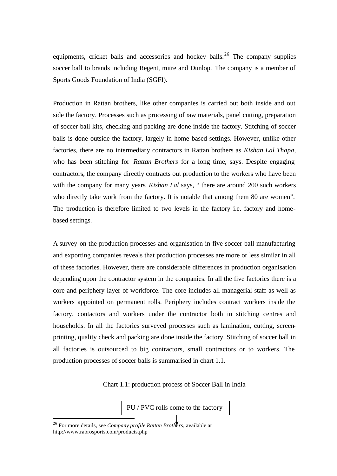equipments, cricket balls and accessories and hockey balls.<sup>26</sup> The company supplies soccer ball to brands including Regent, mitre and Dunlop. The company is a member of Sports Goods Foundation of India (SGFI).

Production in Rattan brothers, like other companies is carried out both inside and out side the factory. Processes such as processing of raw materials, panel cutting, preparation of soccer ball kits, checking and packing are done inside the factory. Stitching of soccer balls is done outside the factory, largely in home-based settings. However, unlike other factories, there are no intermediary contractors in Rattan brothers as *Kishan Lal Thapa,*  who has been stitching for *Rattan Brothers* for a long time, says. Despite engaging contractors, the company directly contracts out production to the workers who have been with the company for many years. *Kishan Lal* says, " there are around 200 such workers who directly take work from the factory. It is notable that among them 80 are women". The production is therefore limited to two levels in the factory i.e. factory and homebased settings.

A survey on the production processes and organisation in five soccer ball manufacturing and exporting companies reveals that production processes are more or less similar in all of these factories. However, there are considerable differences in production organisation depending upon the contractor system in the companies. In all the five factories there is a core and periphery layer of workforce. The core includes all managerial staff as well as workers appointed on permanent rolls. Periphery includes contract workers inside the factory, contactors and workers under the contractor both in stitching centres and households. In all the factories surveyed processes such as lamination, cutting, screenprinting, quality check and packing are done inside the factory. Stitching of soccer ball in all factories is outsourced to big contractors, small contractors or to workers. The production processes of soccer balls is summarised in chart 1.1.

Chart 1.1: production process of Soccer Ball in India

PU / PVC rolls come to the factory

<sup>26</sup> For more details, see *Company profile Rattan Brothers*, available at http://www.rabrosports.com/products.php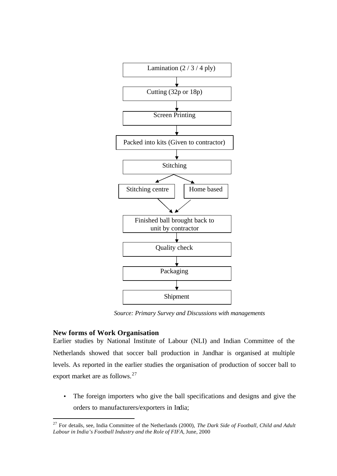

*Source: Primary Survey and Discussions with managements*

## **New forms of Work Organisation**

l

Earlier studies by National Institute of Labour (NLI) and Indian Committee of the Netherlands showed that soccer ball production in Jandhar is organised at multiple levels. As reported in the earlier studies the organisation of production of soccer ball to export market are as follows.<sup>27</sup>

The foreign importers who give the ball specifications and designs and give the orders to manufacturers/exporters in India;

<sup>27</sup> For details, see, India Committee of the Netherlands (2000), *The Dark Side of Football, Child and Adult Labour in India's Football Industry and the Role of FIFA*, June, 2000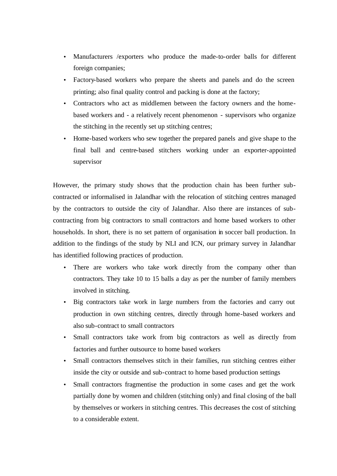- Manufacturers /exporters who produce the made-to-order balls for different foreign companies;
- Factory-based workers who prepare the sheets and panels and do the screen printing; also final quality control and packing is done at the factory;
- Contractors who act as middlemen between the factory owners and the homebased workers and - a relatively recent phenomenon - supervisors who organize the stitching in the recently set up stitching centres;
- Home-based workers who sew together the prepared panels and give shape to the final ball and centre-based stitchers working under an exporter-appointed supervisor

However, the primary study shows that the production chain has been further subcontracted or informalised in Jalandhar with the relocation of stitching centres managed by the contractors to outside the city of Jalandhar. Also there are instances of subcontracting from big contractors to small contractors and home based workers to other households. In short, there is no set pattern of organisation in soccer ball production. In addition to the findings of the study by NLI and ICN, our primary survey in Jalandhar has identified following practices of production.

- There are workers who take work directly from the company other than contractors. They take 10 to 15 balls a day as per the number of family members involved in stitching.
- Big contractors take work in large numbers from the factories and carry out production in own stitching centres, directly through home-based workers and also sub-contract to small contractors
- Small contractors take work from big contractors as well as directly from factories and further outsource to home based workers
- Small contractors themselves stitch in their families, run stitching centres either inside the city or outside and sub-contract to home based production settings
- Small contractors fragmentise the production in some cases and get the work partially done by women and children (stitching only) and final closing of the ball by themselves or workers in stitching centres. This decreases the cost of stitching to a considerable extent.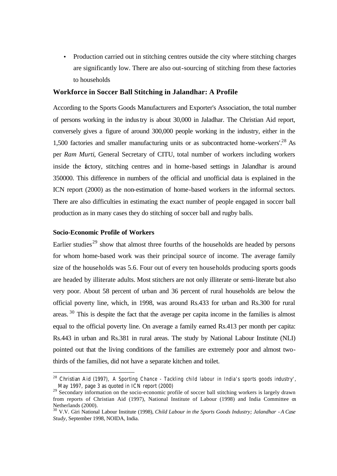• Production carried out in stitching centres outside the city where stitching charges are significantly low. There are also out-sourcing of stitching from these factories to households

### **Workforce in Soccer Ball Stitching in Jalandhar: A Profile**

According to the Sports Goods Manufacturers and Exporter's Association, the total number of persons working in the industry is about 30,000 in Jaladhar. The Christian Aid report, conversely gives a figure of around 300,000 people working in the industry, either in the 1,500 factories and smaller manufacturing units or as subcontracted home-workers'.<sup>28</sup> As per *Ram Murti*, General Secretary of CITU, total number of workers including workers inside the factory, stitching centres and in home-based settings in Jalandhar is around 350000. This difference in numbers of the official and unofficial data is explained in the ICN report (2000) as the non-estimation of home-based workers in the informal sectors. There are also difficulties in estimating the exact number of people engaged in soccer ball production as in many cases they do stitching of soccer ball and rugby balls.

## **Socio-Economic Profile of Workers**

l

Earlier studies<sup>29</sup> show that almost three fourths of the households are headed by persons for whom home-based work was their principal source of income. The average family size of the households was 5.6. Four out of every ten households producing sports goods are headed by illiterate adults. Most stitchers are not only illiterate or semi-literate but also very poor. About 58 percent of urban and 36 percent of rural households are below the official poverty line, which, in 1998, was around Rs.433 for urban and Rs.300 for rural areas.<sup>30</sup> This is despite the fact that the average per capita income in the families is almost equal to the official poverty line. On average a family earned Rs.413 per month per capita: Rs.443 in urban and Rs.381 in rural areas. The study by National Labour Institute (NLI) pointed out that the living conditions of the families are extremely poor and almost twothirds of the families, did not have a separate kitchen and toilet.

<sup>28</sup> Christian Aid (1997), *A Sporting Chance* - *Tackling child labour in India's sports goods industry'*, May 1997, page 3 as quoted in ICN report (2000)

<sup>&</sup>lt;sup>29</sup> Secondary information on the socio-economic profile of soccer ball stitching workers is largely drawn from reports of Christian Aid (1997), National Institute of Labour (1998) and India Committee on Netherlands (2000).

<sup>30</sup> V.V. Giri National Labour Institute (1998), *Child Labour in the Sports Goods Industry; Jalandhar - A Case Study*, September 1998, NOIDA, India.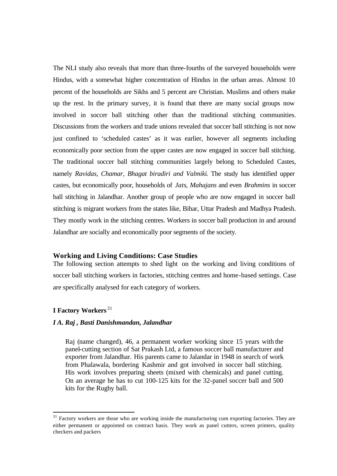The NLI study also reveals that more than three-fourths of the surveyed households were Hindus, with a somewhat higher concentration of Hindus in the urban areas. Almost 10 percent of the households are Sikhs and 5 percent are Christian. Muslims and others make up the rest. In the primary survey, it is found that there are many social groups now involved in soccer ball stitching other than the traditional stitching communities. Discussions from the workers and trade unions revealed that soccer ball stitching is not now just confined to 'scheduled castes' as it was earlier, however all segments including economically poor section from the upper castes are now engaged in soccer ball stitching. The traditional soccer ball stitching communities largely belong to Scheduled Castes, namely *Ravidas, Chamar, Bhagat biradiri and Valmiki*. The study has identified upper castes, but economically poor, households of *Jats*, *Mahajans* and even *Brahmins* in soccer ball stitching in Jalandhar. Another group of people who are now engaged in soccer ball stitching is migrant workers from the states like, Bihar, Uttar Pradesh and Madhya Pradesh. They mostly work in the stitching centres. Workers in soccer ball production in and around Jalandhar are socially and economically poor segments of the society.

#### **Working and Living Conditions: Case Studies**

The following section attempts to shed light on the working and living conditions of soccer ball stitching workers in factories, stitching centres and home-based settings. Case are specifically analysed for each category of workers.

## **I Factory Workers** <sup>31</sup>

l

#### *I A. Raj , Basti Danishmandan, Jalandhar*

Raj (name changed), 46, a permanent worker working since 15 years with the panel-cutting section of Sat Prakash Ltd, a famous soccer ball manufacturer and exporter from Jalandhar. His parents came to Jalandar in 1948 in search of work from Phalawala, bordering Kashmir and got involved in soccer ball stitching. His work involves preparing sheets (mixed with chemicals) and panel cutting. On an average he has to cut 100-125 kits for the 32-panel soccer ball and 500 kits for the Rugby ball.

<sup>&</sup>lt;sup>31</sup> Factory workers are those who are working inside the manufacturing cum exporting factories. They are either permanent or appointed on contract basis. They work as panel cutters, screen printers, quality checkers and packers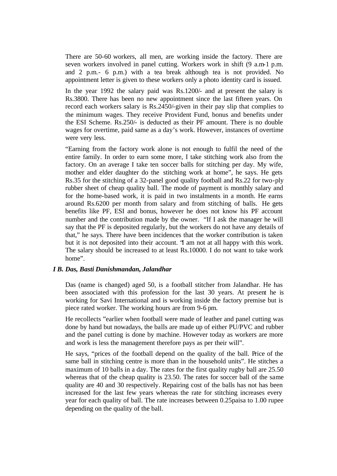There are 50-60 workers, all men, are working inside the factory. There are seven workers involved in panel cutting. Workers work in shift (9 a.m-1 p.m. and 2 p.m.- 6 p.m.) with a tea break although tea is not provided. No appointment letter is given to these workers only a photo identity card is issued.

In the year 1992 the salary paid was Rs.1200/- and at present the salary is Rs.3800. There has been no new appointment since the last fifteen years. On record each workers salary is Rs.2450/-given in their pay slip that complies to the minimum wages. They receive Provident Fund, bonus and benefits under the ESI Scheme. Rs.250/- is deducted as their PF amount. There is no double wages for overtime, paid same as a day's work. However, instances of overtime were very less.

"Earning from the factory work alone is not enough to fulfil the need of the entire family. In order to earn some more, I take stitching work also from the factory. On an average I take ten soccer balls for stitching per day. My wife, mother and elder daughter do the stitching work at home", he says. He gets Rs.35 for the stitching of a 32-panel good quality football and Rs.22 for two-ply rubber sheet of cheap quality ball. The mode of payment is monthly salary and for the home-based work, it is paid in two instalments in a month. He earns around Rs.6200 per month from salary and from stitching of balls. He gets benefits like PF, ESI and bonus, however he does not know his PF account number and the contribution made by the owner. "If I ask the manager he will say that the PF is deposited regularly, but the workers do not have any details of that," he says. There have been incidences that the worker contribution is taken but it is not deposited into their account. "I am not at all happy with this work. The salary should be increased to at least Rs.10000. I do not want to take work home".

### *I B. Das, Basti Danishmandan, Jalandhar*

Das (name is changed) aged 50, is a football stitcher from Jalandhar. He has been associated with this profession for the last 30 years. At present he is working for Savi International and is working inside the factory premise but is piece rated worker. The working hours are from 9-6 pm.

He recollects "earlier when football were made of leather and panel cutting was done by hand but nowadays, the balls are made up of either PU/PVC and rubber and the panel cutting is done by machine. However today as workers are more and work is less the management therefore pays as per their will".

He says, "prices of the football depend on the quality of the ball. Price of the same ball in stitching centre is more than in the household units". He stitches a maximum of 10 balls in a day. The rates for the first quality rugby ball are 25.50 whereas that of the cheap quality is 23.50. The rates for soccer ball of the same quality are 40 and 30 respectively. Repairing cost of the balls has not has been increased for the last few years whereas the rate for stitching increases every year for each quality of ball. The rate increases between 0.25paisa to 1.00 rupee depending on the quality of the ball.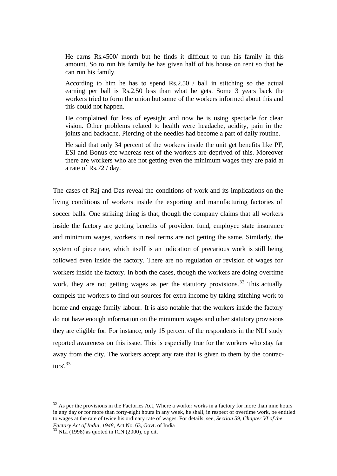He earns Rs.4500/ month but he finds it difficult to run his family in this amount. So to run his family he has given half of his house on rent so that he can run his family.

According to him he has to spend Rs.2.50 / ball in stitching so the actual earning per ball is Rs.2.50 less than what he gets. Some 3 years back the workers tried to form the union but some of the workers informed about this and this could not happen.

He complained for loss of eyesight and now he is using spectacle for clear vision. Other problems related to health were headache, acidity, pain in the joints and backache. Piercing of the needles had become a part of daily routine.

He said that only 34 percent of the workers inside the unit get benefits like PF, ESI and Bonus etc whereas rest of the workers are deprived of this. Moreover there are workers who are not getting even the minimum wages they are paid at a rate of Rs.72 / day.

The cases of Raj and Das reveal the conditions of work and its implications on the living conditions of workers inside the exporting and manufacturing factories of soccer balls. One striking thing is that, though the company claims that all workers inside the factory are getting benefits of provident fund, employee state insuranc e and minimum wages, workers in real terms are not getting the same. Similarly, the system of piece rate, which itself is an indication of precarious work is still being followed even inside the factory. There are no regulation or revision of wages for workers inside the factory. In both the cases, though the workers are doing overtime work, they are not getting wages as per the statutory provisions.<sup>32</sup> This actually compels the workers to find out sources for extra income by taking stitching work to home and engage family labour. It is also notable that the workers inside the factory do not have enough information on the minimum wages and other statutory provisions they are eligible for. For instance, only 15 percent of the respondents in the NLI study reported awareness on this issue. This is especially true for the workers who stay far away from the city. The workers accept any rate that is given to them by the contractors'.<sup>33</sup>

 $32$  As per the provisions in the Factories Act, Where a worker works in a factory for more than nine hours in any day or for more than forty-eight hours in any week, he shall, in respect of overtime work, be entitled to wages at the rate of twice his ordinary rate of wages. For details, see, *Section 59, Chapter VI of the Factory Act of India, 1948*, Act No. 63, Govt. of India

 $33$  NLI (1998) as quoted in ICN (2000), op cit.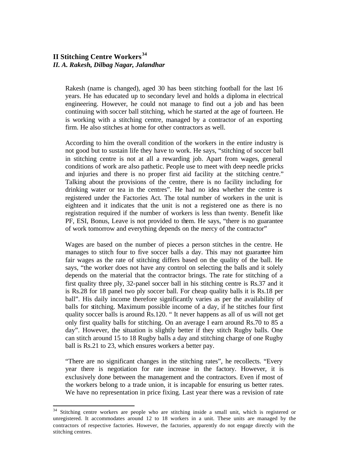## **II Stitching Centre Workers<sup>34</sup>** *II. A. Rakesh, Dilbag Nagar, Jalandhar*

l

Rakesh (name is changed), aged 30 has been stitching football for the last 16 years. He has educated up to secondary level and holds a diploma in electrical engineering. However, he could not manage to find out a job and has been continuing with soccer ball stitching, which he started at the age of fourteen. He is working with a stitching centre, managed by a contractor of an exporting firm. He also stitches at home for other contractors as well.

According to him the overall condition of the workers in the entire industry is not good but to sustain life they have to work. He says, "stitching of soccer ball in stitching centre is not at all a rewarding job. Apart from wages, general conditions of work are also pathetic. People use to meet with deep needle pricks and injuries and there is no proper first aid facility at the stitching centre." Talking about the provisions of the centre, there is no facility including for drinking water or tea in the centres". He had no idea whether the centre is registered under the Factories Act. The total number of workers in the unit is eighteen and it indicates that the unit is not a registered one as there is no registration required if the number of workers is less than twenty. Benefit like PF, ESI, Bonus, Leave is not provided to them. He says, "there is no guarantee of work tomorrow and everything depends on the mercy of the contractor"

Wages are based on the number of pieces a person stitches in the centre. He manages to stitch four to five soccer balls a day. This may not guarantee him fair wages as the rate of stitching differs based on the quality of the ball. He says, "the worker does not have any control on selecting the balls and it solely depends on the material that the contractor brings. The rate for stitching of a first quality three ply, 32-panel soccer ball in his stitching centre is Rs.37 and it is Rs.28 for 18 panel two ply soccer ball. For cheap quality balls it is Rs.18 per ball". His daily income therefore significantly varies as per the availability of balls for stitching. Maximum possible income of a day, if he stitches four first quality soccer balls is around Rs.120. " It never happens as all of us will not get only first quality balls for stitching. On an average I earn around Rs.70 to 85 a day". However, the situation is slightly better if they stitch Rugby balls. One can stitch around 15 to 18 Rugby balls a day and stitching charge of one Rugby ball is Rs.21 to 23, which ensures workers a better pay.

"There are no significant changes in the stitching rates", he recollects. "Every year there is negotiation for rate increase in the factory. However, it is exclusively done between the management and the contractors. Even if most of the workers belong to a trade union, it is incapable for ensuring us better rates. We have no representation in price fixing. Last year there was a revision of rate

 $34$  Stitching centre workers are people who are stitching inside a small unit, which is registered or unregistered. It accommodates around 12 to 18 workers in a unit. These units are managed by the contractors of respective factories. However, the factories, apparently do not engage directly with the stitching centres.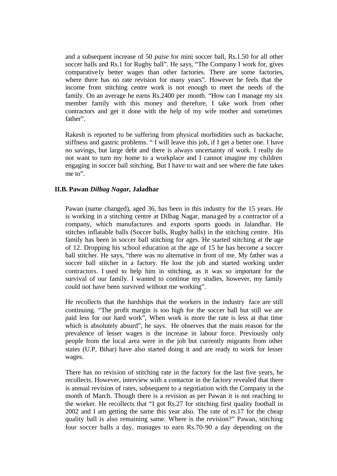and a subsequent increase of 50 *paise* for mini soccer ball, Rs.1.50 for all other soccer balls and Rs.1 for Rugby ball". He says, "The Company I work for, gives comparative ly better wages than other factories. There are some factories, where there has no rate revision for many years". However he feels that the income from stitching centre work is not enough to meet the needs of the family. On an average he earns Rs.2400 per month. "How can I manage my six member family with this money and therefore, I take work from other contractors and get it done with the help of my wife mother and sometimes father".

Rakesh is reported to be suffering from physical morbidities such as backache, stiffness and gastric problems. " I will leave this job, if I get a better one. I have no savings, but large debt and there is always uncertainty of work. I really do not want to turn my home to a workplace and I cannot imagine my children engaging in soccer ball stitching. But I have to wait and see where the fate takes me to".

## **II.B. Pawan** *Dilbag Nagar,* **Jaladhar**

Pawan (name changed), aged 36, has been in this industry for the 15 years. He is working in a stitching centre at Dilbag Nagar, managed by a contractor of a company, which manufactures and exports sports goods in Jalandhar. He stitches inflatable balls (Soccer balls, Rugby balls) in the stitching centre. His family has been in soccer ball stitching for ages. He started stitching at the age of 12. Dropping his school education at the age of 15 he has become a soccer ball stitcher. He says, "there was no alternative in front of me. My father was a soccer ball stitcher in a factory. He lost the job and started working under contractors. I used to help him in stitching, as it was so important for the survival of our family. I wanted to continue my studies, however, my family could not have been survived without me working".

He recollects that the hardships that the workers in the industry face are still continuing. "The profit margin is too high for the soccer ball but still we are paid less for our hard work", When work is more the rate is less at that time which is absolutely absurd", he says. He observes that the main reason for the prevalence of lesser wages is the increase in labour force. Previously only people from the local area were in the job but currently migrants from other states (U.P, Bihar) have also started doing it and are ready to work for lesser wages.

There has no revision of stitching rate in the factory for the last five years, he recollects. However, interview with a contactor in the factory revealed that there is annual revision of rates, subsequent to a negotiation with the Company in the month of March. Though there is a revision as per Pawan it is not reaching to the worker. He recollects that "I got Rs.27 for stitching first quality football in 2002 and I am getting the same this year also. The rate of rs.17 for the cheap quality ball is also remaining same. Where is the revision?" Pawan, stitching four soccer balls a day, manages to earn Rs.70-90 a day depending on the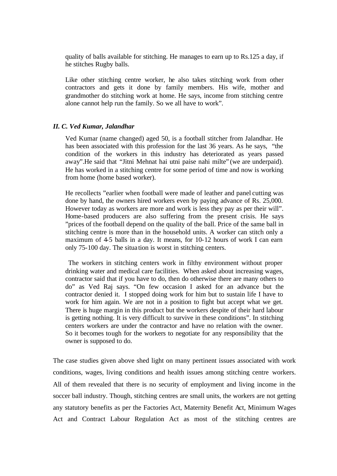quality of balls available for stitching. He manages to earn up to Rs.125 a day, if he stitches Rugby balls.

Like other stitching centre worker, he also takes stitching work from other contractors and gets it done by family members. His wife, mother and grandmother do stitching work at home. He says, income from stitching centre alone cannot help run the family. So we all have to work".

## *II. C. Ved Kumar, Jalandhar*

Ved Kumar (name changed) aged 50, is a football stitcher from Jalandhar. He has been associated with this profession for the last 36 years. As he says, "the condition of the workers in this industry has deteriorated as years passed away".He said that "Jitni Mehnat hai utni paise nahi milte" (we are underpaid). He has worked in a stitching centre for some period of time and now is working from home (home based worker).

He recollects "earlier when football were made of leather and panel cutting was done by hand, the owners hired workers even by paying advance of Rs. 25,000. However today as workers are more and work is less they pay as per their will". Home-based producers are also suffering from the present crisis. He says "prices of the football depend on the quality of the ball. Price of the same ball in stitching centre is more than in the household units. A worker can stitch only a maximum of 4-5 balls in a day. It means, for 10-12 hours of work I can earn only 75-100 day. The situa tion is worst in stitching centers.

 The workers in stitching centers work in filthy environment without proper drinking water and medical care facilities. When asked about increasing wages, contractor said that if you have to do, then do otherwise there are many others to do" as Ved Raj says. "On few occasion I asked for an advance but the contractor denied it. I stopped doing work for him but to sustain life I have to work for him again. We are not in a position to fight but accept what we get. There is huge margin in this product but the workers despite of their hard labour is getting nothing. It is very difficult to survive in these conditions". In stitching centers workers are under the contractor and have no relation with the owner. So it becomes tough for the workers to negotiate for any responsibility that the owner is supposed to do.

The case studies given above shed light on many pertinent issues associated with work conditions, wages, living conditions and health issues among stitching centre workers. All of them revealed that there is no security of employment and living income in the soccer ball industry. Though, stitching centres are small units, the workers are not getting any statutory benefits as per the Factories Act, Maternity Benefit Act, Minimum Wages Act and Contract Labour Regulation Act as most of the stitching centres are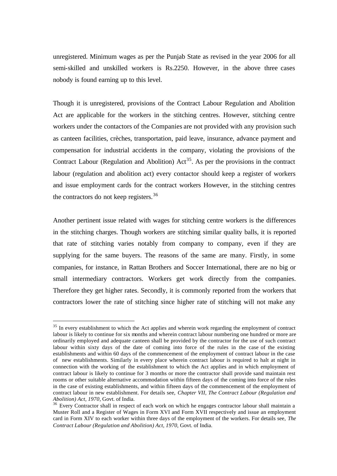unregistered. Minimum wages as per the Punjab State as revised in the year 2006 for all semi-skilled and unskilled workers is Rs.2250. However, in the above three cases nobody is found earning up to this level.

Though it is unregistered, provisions of the Contract Labour Regulation and Abolition Act are applicable for the workers in the stitching centres. However, stitching centre workers under the contactors of the Companies are not provided with any provision such as canteen facilities, crèches, transportation, paid leave, insurance, advance payment and compensation for industrial accidents in the company, violating the provisions of the Contract Labour (Regulation and Abolition)  $Act^{35}$ . As per the provisions in the contract labour (regulation and abolition act) every contactor should keep a register of workers and issue employment cards for the contract workers However, in the stitching centres the contractors do not keep registers. $36$ 

Another pertinent issue related with wages for stitching centre workers is the differences in the stitching charges. Though workers are stitching similar quality balls, it is reported that rate of stitching varies notably from company to company, even if they are supplying for the same buyers. The reasons of the same are many. Firstly, in some companies, for instance, in Rattan Brothers and Soccer International, there are no big or small intermediary contractors. Workers get work directly from the companies. Therefore they get higher rates. Secondly, it is commonly reported from the workers that contractors lower the rate of stitching since higher rate of stitching will not make any

<sup>&</sup>lt;sup>35</sup> In every establishment to which the Act applies and wherein work regarding the employment of contract labour is likely to continue for six months and wherein contract labour numbering one hundred or more are ordinarily employed and adequate canteen shall be provided by the contractor for the use of such contract labour within sixty days of the date of coming into force of the rules in the case of the existing establishments and within 60 days of the commencement of the employment of contract labour in the case of new establishments. Similarly in every place wherein contract labour is required to halt at night in connection with the working of the establishment to which the Act applies and in which employment of contract labour is likely to continue for 3 months or more the contractor shall provide sand maintain rest rooms or other suitable alternative accommodation within fifteen days of the coming into force of the rules in the case of existing establishments, and within fifteen days of the commencement of the employment of contract labour in new establishment. For details see, *Chapter VII, The Contract Labour (Regulation and Abolition) Act, 1970*, Govt. of India.

<sup>&</sup>lt;sup>36</sup> Every Contractor shall in respect of each work on which he engages contractor labour shall maintain a Muster Roll and a Register of Wages in Form XVI and Form XVII respectively and issue an employment card in Form XIV to each worker within three days of the employment of the workers. For details see, *The Contract Labour (Regulation and Abolition) Act, 1970*, Govt. of India.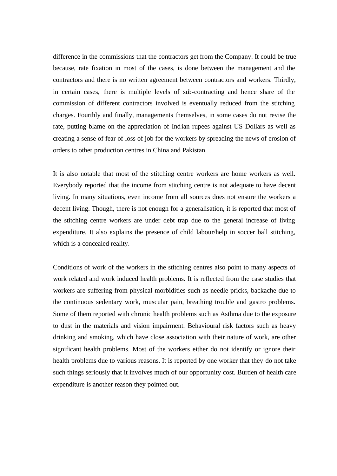difference in the commissions that the contractors get from the Company. It could be true because, rate fixation in most of the cases, is done between the management and the contractors and there is no written agreement between contractors and workers. Thirdly, in certain cases, there is multiple levels of sub-contracting and hence share of the commission of different contractors involved is eventually reduced from the stitching charges. Fourthly and finally, managements themselves, in some cases do not revise the rate, putting blame on the appreciation of Indian rupees against US Dollars as well as creating a sense of fear of loss of job for the workers by spreading the news of erosion of orders to other production centres in China and Pakistan.

It is also notable that most of the stitching centre workers are home workers as well. Everybody reported that the income from stitching centre is not adequate to have decent living. In many situations, even income from all sources does not ensure the workers a decent living. Though, there is not enough for a generalisation, it is reported that most of the stitching centre workers are under debt trap due to the general increase of living expenditure. It also explains the presence of child labour/help in soccer ball stitching, which is a concealed reality.

Conditions of work of the workers in the stitching centres also point to many aspects of work related and work induced health problems. It is reflected from the case studies that workers are suffering from physical morbidities such as needle pricks, backache due to the continuous sedentary work, muscular pain, breathing trouble and gastro problems. Some of them reported with chronic health problems such as Asthma due to the exposure to dust in the materials and vision impairment. Behavioural risk factors such as heavy drinking and smoking, which have close association with their nature of work, are other significant health problems. Most of the workers either do not identify or ignore their health problems due to various reasons. It is reported by one worker that they do not take such things seriously that it involves much of our opportunity cost. Burden of health care expenditure is another reason they pointed out.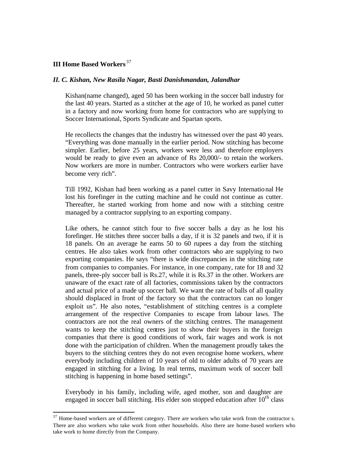## **III Home Based Workers** <sup>37</sup>

l

## *II. C. Kishan, New Rasila Nagar, Basti Danishmandan, Jalandhar*

Kishan(name changed), aged 50 has been working in the soccer ball industry for the last 40 years. Started as a stitcher at the age of 10, he worked as panel cutter in a factory and now working from home for contractors who are supplying to Soccer International, Sports Syndicate and Spartan sports.

He recollects the changes that the industry has witnessed over the past 40 years. "Everything was done manually in the earlier period. Now stitching has become simpler. Earlier, before 25 years, workers were less and therefore employers would be ready to give even an advance of Rs 20,000/- to retain the workers. Now workers are more in number. Contractors who were workers earlier have become very rich".

Till 1992, Kishan had been working as a panel cutter in Savy International He lost his forefinger in the cutting machine and he could not continue as cutter. Thereafter, he started working from home and now with a stitching centre managed by a contractor supplying to an exporting company.

Like others, he cannot stitch four to five soccer balls a day as he lost his forefinger. He stitches three soccer balls a day, if it is 32 panels and two, if it is 18 panels. On an average he earns 50 to 60 rupees a day from the stitching centres. He also takes work from other contractors who are supplying to two exporting companies. He says "there is wide discrepancies in the stitching rate from companies to companies. For instance, in one company, rate for 18 and 32 panels, three-ply soccer ball is Rs.27, while it is Rs.37 in the other. Workers are unaware of the exact rate of all factories, commissions taken by the contractors and actual price of a made up soccer ball. We want the rate of balls of all quality should displaced in front of the factory so that the contractors can no longer exploit us". He also notes, "establishment of stitching centres is a complete arrangement of the respective Companies to escape from labour laws. The contractors are not the real owners of the stitching centres. The management wants to keep the stitching centres just to show their buyers in the foreign companies that there is good conditions of work, fair wages and work is not done with the participation of children. When the management proudly takes the buyers to the stitching centres they do not even recognise home workers, where everybody including children of 10 years of old to older adults of 70 years are engaged in stitching for a living. In real terms, maximum work of soccer ball stitching is happening in home based settings".

Everybody in his family, including wife, aged mother, son and daughter are engaged in soccer ball stitching. His elder son stopped education after  $10<sup>th</sup>$  class

<sup>&</sup>lt;sup>37</sup> Home-based workers are of different category. There are workers who take work from the contractor s. There are also workers who take work from other households. Also there are home-based workers who take work to home directly from the Company.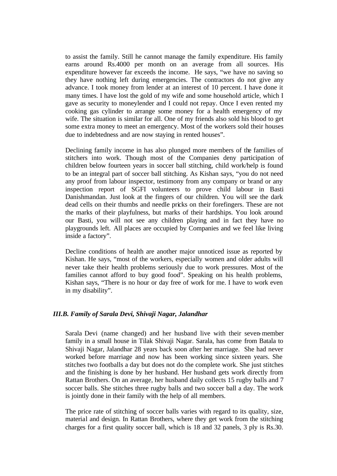to assist the family. Still he cannot manage the family expenditure. His family earns around Rs.4000 per month on an average from all sources. His expenditure however far exceeds the income. He says, "we have no saving so they have nothing left during emergencies. The contractors do not give any advance. I took money from lender at an interest of 10 percent. I have done it many times. I have lost the gold of my wife and some household article, which I gave as security to moneylender and I could not repay. Once I even rented my cooking gas cylinder to arrange some money for a health emergency of my wife. The situation is similar for all. One of my friends also sold his blood to get some extra money to meet an emergency. Most of the workers sold their houses due to indebtedness and are now staying in rented houses".

Declining family income in has also plunged more members of the families of stitchers into work. Though most of the Companies deny participation of children below fourteen years in soccer ball stitching, child work/help is found to be an integral part of soccer ball stitching. As Kishan says, "you do not need any proof from labour inspector, testimony from any company or brand or any inspection report of SGFI volunteers to prove child labour in Basti Danishmandan. Just look at the fingers of our children. You will see the dark dead cells on their thumbs and needle pricks on their forefingers. These are not the marks of their playfulness, but marks of their hardships. You look around our Basti, you will not see any children playing and in fact they have no playgrounds left. All places are occupied by Companies and we feel like living inside a factory".

Decline conditions of health are another major unnoticed issue as reported by Kishan. He says, "most of the workers, especially women and older adults will never take their health problems seriously due to work pressures. Most of the families cannot afford to buy good food". Speaking on his health problems, Kishan says, "There is no hour or day free of work for me. I have to work even in my disability".

## *III.B. Family of Sarala Devi, Shivaji Nagar, Jalandhar*

Sarala Devi (name changed) and her husband live with their seven-member family in a small house in Tilak Shivaji Nagar. Sarala, has come from Batala to Shivaji Nagar, Jalandhar 28 years back soon after her marriage. She had never worked before marriage and now has been working since sixteen years. She stitches two footballs a day but does not do the complete work. She just stitches and the finishing is done by her husband. Her husband gets work directly from Rattan Brothers. On an average, her husband daily collects 15 rugby balls and 7 soccer balls. She stitches three rugby balls and two soccer ball a day. The work is jointly done in their family with the help of all members.

The price rate of stitching of soccer balls varies with regard to its quality, size, material and design. In Rattan Brothers, where they get work from the stitching charges for a first quality soccer ball, which is 18 and 32 panels, 3 ply is Rs.30.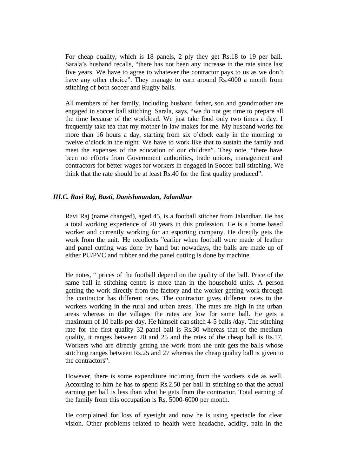For cheap quality, which is 18 panels, 2 ply they get Rs.18 to 19 per ball. Sarala's husband recalls, "there has not been any increase in the rate since last five years. We have to agree to whatever the contractor pays to us as we don't have any other choice". They manage to earn around Rs.4000 a month from stitching of both soccer and Rugby balls.

All members of her family, including husband father, son and grandmother are engaged in soccer ball stitching. Sarala, says, "we do not get time to prepare all the time because of the workload. We just take food only two times a day. I frequently take tea that my mother-in-law makes for me. My husband works for more than 16 hours a day, starting from six o'clock early in the morning to twelve o'clock in the night. We have to work like that to sustain the family and meet the expenses of the education of our children". They note, "there have been no efforts from Government authorities, trade unions, management and contractors for better wages for workers in engaged in Soccer ball stitching. We think that the rate should be at least Rs.40 for the first quality produced".

## *III.C. Ravi Raj, Basti, Danishmandan, Jalandhar*

Ravi Raj (name changed), aged 45, is a football stitcher from Jalandhar. He has a total working experience of 20 years in this profession. He is a home based worker and currently working for an exporting company. He directly gets the work from the unit. He recollects "earlier when football were made of leather and panel cutting was done by hand but nowadays, the balls are made up of either PU/PVC and rubber and the panel cutting is done by machine.

He notes, " prices of the football depend on the quality of the ball. Price of the same ball in stitching centre is more than in the household units. A person getting the work directly from the factory and the worker getting work through the contractor has different rates. The contractor gives different rates to the workers working in the rural and urban areas. The rates are high in the urban areas whereas in the villages the rates are low for same ball. He gets a maximum of 10 balls per day. He himself can stitch 4-5 balls /day. The stitching rate for the first quality 32-panel ball is Rs.30 whereas that of the medium quality, it ranges between 20 and 25 and the rates of the cheap ball is Rs.17. Workers who are directly getting the work from the unit gets the balls whose stitching ranges between Rs.25 and 27 whereas the cheap quality ball is given to the contractors".

However, there is some expenditure incurring from the workers side as well. According to him he has to spend Rs.2.50 per ball in stitching so that the actual earning per ball is less than what he gets from the contractor. Total earning of the family from this occupation is Rs. 5000-6000 per month.

He complained for loss of eyesight and now he is using spectacle for clear vision. Other problems related to health were headache, acidity, pain in the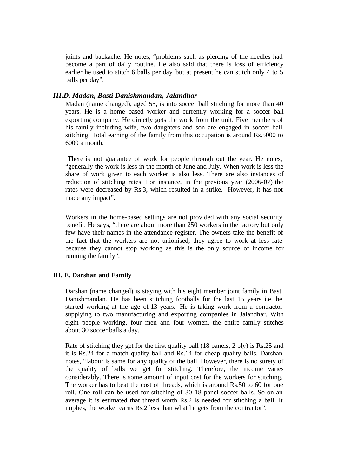joints and backache. He notes, "problems such as piercing of the needles had become a part of daily routine. He also said that there is loss of efficiency earlier he used to stitch 6 balls per day but at present he can stitch only 4 to 5 balls per day".

## *III.D. Madan, Basti Danishmandan, Jalandhar*

Madan (name changed), aged 55, is into soccer ball stitching for more than 40 years. He is a home based worker and currently working for a soccer ball exporting company. He directly gets the work from the unit. Five members of his family including wife, two daughters and son are engaged in soccer ball stitching. Total earning of the family from this occupation is around Rs.5000 to 6000 a month.

 There is not guarantee of work for people through out the year. He notes, "generally the work is less in the month of June and July. When work is less the share of work given to each worker is also less. There are also instances of reduction of stitching rates. For instance, in the previous year (2006-07) the rates were decreased by Rs.3, which resulted in a strike. However, it has not made any impact".

Workers in the home-based settings are not provided with any social security benefit. He says, "there are about more than 250 workers in the factory but only few have their names in the attendance register. The owners take the benefit of the fact that the workers are not unionised, they agree to work at less rate because they cannot stop working as this is the only source of income for running the family".

## **III. E. Darshan and Family**

Darshan (name changed) is staying with his eight member joint family in Basti Danishmandan. He has been stitching footballs for the last 15 years i.e. he started working at the age of 13 years. He is taking work from a contractor supplying to two manufacturing and exporting companies in Jalandhar. With eight people working, four men and four women, the entire family stitches about 30 soccer balls a day.

Rate of stitching they get for the first quality ball (18 panels, 2 ply) is Rs.25 and it is Rs.24 for a match quality ball and Rs.14 for cheap quality balls. Darshan notes, "labour is same for any quality of the ball. However, there is no surety of the quality of balls we get for stitching. Therefore, the income varies considerably. There is some amount of input cost for the workers for stitching. The worker has to beat the cost of threads, which is around Rs.50 to 60 for one roll. One roll can be used for stitching of 30 18-panel soccer balls. So on an average it is estimated that thread worth Rs.2 is needed for stitching a ball. It implies, the worker earns Rs.2 less than what he gets from the contractor".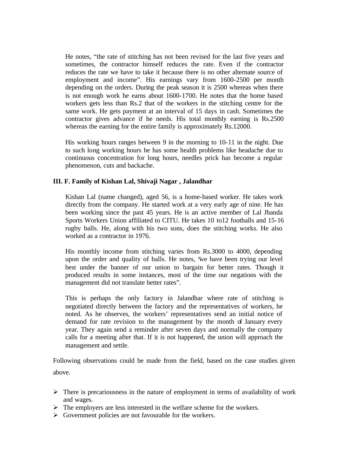He notes, "the rate of stitching has not been revised for the last five years and sometimes, the contractor himself reduces the rate. Even if the contractor reduces the rate we have to take it because there is no other alternate source of employment and income". His earnings vary from 1600-2500 per month depending on the orders. During the peak season it is 2500 whereas when there is not enough work he earns about 1600-1700. He notes that the home based workers gets less than Rs.2 that of the workers in the stitching centre for the same work. He gets payment at an interval of 15 days in cash. Sometimes the contractor gives advance if he needs. His total monthly earning is Rs.2500 whereas the earning for the entire family is approximately Rs.12000.

His working hours ranges between 9 in the morning to 10-11 in the night. Due to such long working hours he has some health problems like headache due to continuous concentration for long hours, needles prick has become a regular phenomenon, cuts and backache.

## **III. F. Family of Kishan Lal, Shivaji Nagar , Jalandhar**

Kishan Lal (name changed), aged 56, is a home-based worker. He takes work directly from the company. He started work at a very early age of nine. He has been working since the past 45 years. He is an active member of Lal Jhanda Sports Workers Union affiliated to CITU. He takes 10 to12 footballs and 15-16 rugby balls. He, along with his two sons, does the stitching works. He also worked as a contractor in 1976.

His monthly income from stitching varies from Rs.3000 to 4000, depending upon the order and quality of balls. He notes, "we have been trying our level best under the banner of our union to bargain for better rates. Though it produced results in some instances, most of the time our negations with the management did not translate better rates".

This is perhaps the only factory in Jalandhar where rate of stitching is negotiated directly between the factory and the representatives of workers, he noted. As he observes, the workers' representatives send an initial notice of demand for rate revision to the management by the month of January every year. They again send a reminder after seven days and normally the company calls for a meeting after that. If it is not happened, the union will approach the management and settle.

Following observations could be made from the field, based on the case studies given above.

- $\triangleright$  There is precariousness in the nature of employment in terms of availability of work and wages.
- $\triangleright$  The employers are less interested in the welfare scheme for the workers.
- $\triangleright$  Government policies are not favourable for the workers.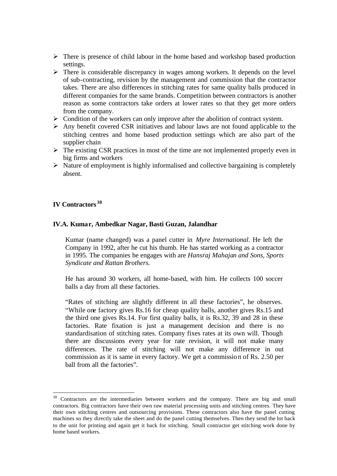- $\triangleright$  There is presence of child labour in the home based and workshop based production settings.
- $\triangleright$  There is considerable discrepancy in wages among workers. It depends on the level of sub-contracting, revision by the management and commission that the contractor takes. There are also differences in stitching rates for same quality balls produced in different companies for the same brands. Competition between contractors is another reason as some contractors take orders at lower rates so that they get more orders from the company.
- $\triangleright$  Condition of the workers can only improve after the abolition of contract system.
- $\triangleright$  Any benefit covered CSR initiatives and labour laws are not found applicable to the stitching centres and home based production settings which are also part of the supplier chain
- $\triangleright$  The existing CSR practices in most of the time are not implemented properly even in big firms and workers
- $\triangleright$  Nature of employment is highly informalised and collective bargaining is completely absent.

## **IV Contractors <sup>38</sup>**

l

### **IV.A. Kumar, Ambedkar Nagar, Basti Guzan, Jalandhar**

Kumar (name changed) was a panel cutter in *Myre International*. He left the Company in 1992, after he cut his thumb. He has started working as a contractor in 1995. The companies he engages with are *Hansraj Mahajan and Sons, Sports Syndicate and Rattan Brothers.*

He has around 30 workers, all home-based, with him. He collects 100 soccer balls a day from all these factories.

"Rates of stitching are slightly different in all these factories", he observes. "While one factory gives Rs.16 for cheap quality balls, another gives Rs.15 and the third one gives Rs.14. For first quality balls, it is Rs.32, 39 and 28 in these factories. Rate fixation is just a management decision and there is no standardisation of stitching rates. Company fixes rates at its own will. Though there are discussions every year for rate revision, it will not make many differences. The rate of stitching will not make any difference in out commission as it is same in every factory. We get a commission of Rs. 2.50 per ball from all the factories".

 $38$  Contractors are the intermediaries between workers and the company. There are big and small contractors. Big contractors have their own raw material processing units and stitching centres. They have their own stitching centres and outsourcing provisions. These contractors also have the panel cutting machines so they directly take the sheet and do the panel cutting themselves. Then they send the lot back to the unit for printing and again get it back for stitching. Small contractor get stitching work done by home based workers.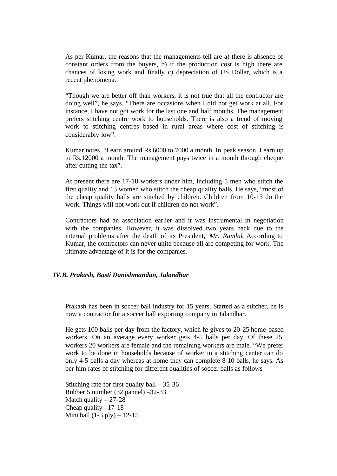As per Kumar, the reasons that the managements tell are a) there is absence of constant orders from the buyers, b) if the production cost is high there are chances of losing work and finally c) depreciation of US Dollar, which is a recent phenomena.

"Though we are better off than workers, it is not true that all the contractor are doing well", he says. "There are occasions when I did not get work at all. For instance, I have not got work for the last one and half months. The management prefers stitching centre work to households. There is also a trend of moving work to stitching centres based in rural areas where cost of stitching is considerably low".

Kumar notes, "I earn around Rs.6000 to 7000 a month. In peak season, I earn up to Rs.12000 a month. The management pays twice in a month through cheque after cutting the tax".

At present there are 17-18 workers under him, including 5 men who stitch the first quality and 13 women who stitch the cheap quality balls. He says, "most of the cheap quality balls are stitched by children. Children from 10-13 do the work. Things will not work out if children do not work".

Contractors had an association earlier and it was instrumental in negotiation with the companies. However, it was dissolved two years back due to the internal problems after the death of its President, *Mr. Ramlal*. According to Kumar, the contractors can never unite because all are competing for work. The ultimate advantage of it is for the companies.

### *IV.B. Prakash, Basti Danishmandan, Jalandhar*

Prakash has been in soccer ball industry for 15 years. Started as a stitcher, he is now a contractor for a soccer ball exporting company in Jalandhar.

He gets 100 balls per day from the factory, which he gives to 20-25 home-based workers. On an average every worker gets 4-5 balls per day. Of these 25 workers 20 workers are female and the remaining workers are male. "We prefer work to be done in households because of worker in a stitching center can do only 4-5 balls a day whereas at home they can complete 8-10 balls, he says. As per him rates of stitching for different qualities of soccer balls as follows

Stitching rate for first quality ball  $-35-36$ Rubber 5 number (32 pannel) –32-33 Match quality  $-27-28$ Cheap quality  $-17-18$ Mini ball  $(1-3$  ply $) - 12-15$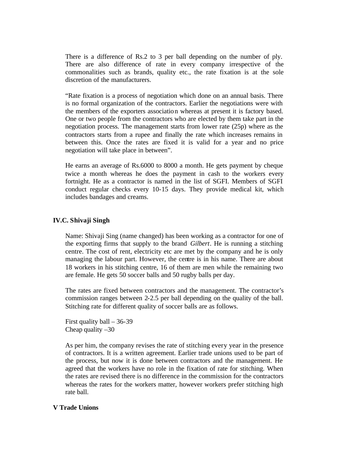There is a difference of Rs.2 to 3 per ball depending on the number of ply. There are also difference of rate in every company irrespective of the commonalities such as brands, quality etc., the rate fixation is at the sole discretion of the manufacturers.

"Rate fixation is a process of negotiation which done on an annual basis. There is no formal organization of the contractors. Earlier the negotiations were with the members of the exporters association whereas at present it is factory based. One or two people from the contractors who are elected by them take part in the negotiation process. The management starts from lower rate (25p) where as the contractors starts from a rupee and finally the rate which increases remains in between this. Once the rates are fixed it is valid for a year and no price negotiation will take place in between".

He earns an average of Rs.6000 to 8000 a month. He gets payment by cheque twice a month whereas he does the payment in cash to the workers every fortnight. He as a contractor is named in the list of SGFI. Members of SGFI conduct regular checks every 10-15 days. They provide medical kit, which includes bandages and creams.

## **IV.C. Shivaji Singh**

Name: Shivaji Sing (name changed) has been working as a contractor for one of the exporting firms that supply to the brand *Gilbert*. He is running a stitching centre. The cost of rent, electricity etc are met by the company and he is only managing the labour part. However, the centre is in his name. There are about 18 workers in his stitching centre, 16 of them are men while the remaining two are female. He gets 50 soccer balls and 50 rugby balls per day.

The rates are fixed between contractors and the management. The contractor's commission ranges between 2-2.5 per ball depending on the quality of the ball. Stitching rate for different quality of soccer balls are as follows.

First quality ball – 36-39 Cheap quality  $-30$ 

As per him, the company revises the rate of stitching every year in the presence of contractors. It is a written agreement. Earlier trade unions used to be part of the process, but now it is done between contractors and the management. He agreed that the workers have no role in the fixation of rate for stitching. When the rates are revised there is no difference in the commission for the contractors whereas the rates for the workers matter, however workers prefer stitching high rate ball.

## **V Trade Unions**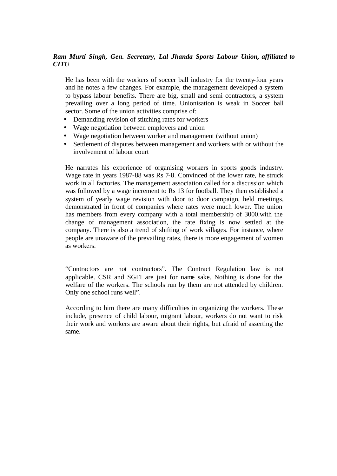## *Ram Murti Singh, Gen. Secretary, Lal Jhanda Sports Labour Union, affiliated to CITU*

He has been with the workers of soccer ball industry for the twenty-four years and he notes a few changes. For example, the management developed a system to bypass labour benefits. There are big, small and semi contractors, a system prevailing over a long period of time. Unionisation is weak in Soccer ball sector. Some of the union activities comprise of:

- Demanding revision of stitching rates for workers
- Wage negotiation between employers and union
- Wage negotiation between worker and management (without union)
- Settlement of disputes between management and workers with or without the involvement of labour court

He narrates his experience of organising workers in sports goods industry. Wage rate in years 1987-88 was Rs 7-8. Convinced of the lower rate, he struck work in all factories. The management association called for a discussion which was followed by a wage increment to Rs 13 for football. They then established a system of yearly wage revision with door to door campaign, held meetings, demonstrated in front of companies where rates were much lower. The union has members from every company with a total membership of 3000.with the change of management association, the rate fixing is now settled at the company. There is also a trend of shifting of work villages. For instance, where people are unaware of the prevailing rates, there is more engagement of women as workers.

"Contractors are not contractors". The Contract Regulation law is not applicable. CSR and SGFI are just for name sake. Nothing is done for the welfare of the workers. The schools run by them are not attended by children. Only one school runs well".

According to him there are many difficulties in organizing the workers. These include, presence of child labour, migrant labour, workers do not want to risk their work and workers are aware about their rights, but afraid of asserting the same.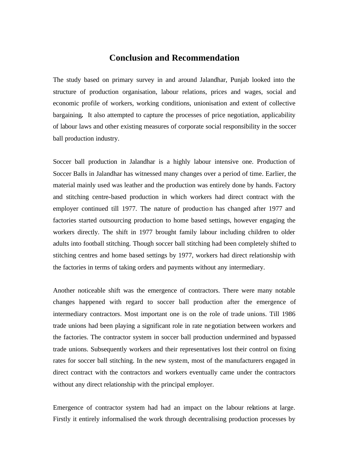## **Conclusion and Recommendation**

The study based on primary survey in and around Jalandhar, Punjab looked into the structure of production organisation, labour relations, prices and wages, social and economic profile of workers, working conditions, unionisation and extent of collective bargaining**.** It also attempted to capture the processes of price negotiation, applicability of labour laws and other existing measures of corporate social responsibility in the soccer ball production industry.

Soccer ball production in Jalandhar is a highly labour intensive one. Production of Soccer Balls in Jalandhar has witnessed many changes over a period of time. Earlier, the material mainly used was leather and the production was entirely done by hands. Factory and stitching centre-based production in which workers had direct contract with the employer continued till 1977. The nature of production has changed after 1977 and factories started outsourcing production to home based settings, however engaging the workers directly. The shift in 1977 brought family labour including children to older adults into football stitching. Though soccer ball stitching had been completely shifted to stitching centres and home based settings by 1977, workers had direct relationship with the factories in terms of taking orders and payments without any intermediary.

Another noticeable shift was the emergence of contractors. There were many notable changes happened with regard to soccer ball production after the emergence of intermediary contractors. Most important one is on the role of trade unions. Till 1986 trade unions had been playing a significant role in rate negotiation between workers and the factories. The contractor system in soccer ball production undermined and bypassed trade unions. Subsequently workers and their representatives lost their control on fixing rates for soccer ball stitching. In the new system, most of the manufacturers engaged in direct contract with the contractors and workers eventually came under the contractors without any direct relationship with the principal employer.

Emergence of contractor system had had an impact on the labour relations at large. Firstly it entirely informalised the work through decentralising production processes by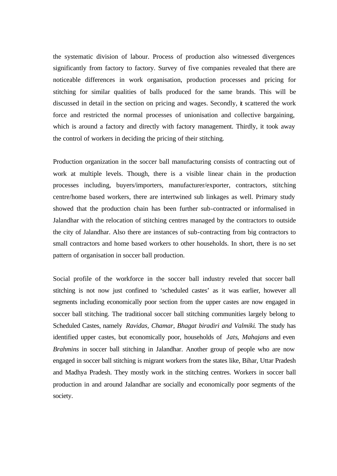the systematic division of labour. Process of production also witnessed divergences significantly from factory to factory. Survey of five companies revealed that there are noticeable differences in work organisation, production processes and pricing for stitching for similar qualities of balls produced for the same brands. This will be discussed in detail in the section on pricing and wages. Secondly, it scattered the work force and restricted the normal processes of unionisation and collective bargaining, which is around a factory and directly with factory management. Thirdly, it took away the control of workers in deciding the pricing of their stitching.

Production organization in the soccer ball manufacturing consists of contracting out of work at multiple levels. Though, there is a visible linear chain in the production processes including, buyers/importers, manufacturer/exporter, contractors, stitching centre/home based workers, there are intertwined sub linkages as well. Primary study showed that the production chain has been further sub-contracted or informalised in Jalandhar with the relocation of stitching centres managed by the contractors to outside the city of Jalandhar. Also there are instances of sub-contracting from big contractors to small contractors and home based workers to other households. In short, there is no set pattern of organisation in soccer ball production.

Social profile of the workforce in the soccer ball industry reveled that soccer ball stitching is not now just confined to 'scheduled castes' as it was earlier, however all segments including economically poor section from the upper castes are now engaged in soccer ball stitching. The traditional soccer ball stitching communities largely belong to Scheduled Castes, namely *Ravidas, Chamar, Bhagat biradiri and Valmiki*. The study has identified upper castes, but economically poor, households of *Jats*, *Mahajans* and even *Brahmins* in soccer ball stitching in Jalandhar. Another group of people who are now engaged in soccer ball stitching is migrant workers from the states like, Bihar, Uttar Pradesh and Madhya Pradesh. They mostly work in the stitching centres. Workers in soccer ball production in and around Jalandhar are socially and economically poor segments of the society.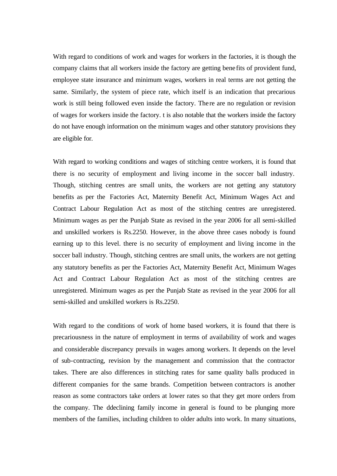With regard to conditions of work and wages for workers in the factories, it is though the company claims that all workers inside the factory are getting bene fits of provident fund, employee state insurance and minimum wages, workers in real terms are not getting the same. Similarly, the system of piece rate, which itself is an indication that precarious work is still being followed even inside the factory. There are no regulation or revision of wages for workers inside the factory. t is also notable that the workers inside the factory do not have enough information on the minimum wages and other statutory provisions they are eligible for.

With regard to working conditions and wages of stitching centre workers, it is found that there is no security of employment and living income in the soccer ball industry. Though, stitching centres are small units, the workers are not getting any statutory benefits as per the Factories Act, Maternity Benefit Act, Minimum Wages Act and Contract Labour Regulation Act as most of the stitching centres are unregistered. Minimum wages as per the Punjab State as revised in the year 2006 for all semi-skilled and unskilled workers is Rs.2250. However, in the above three cases nobody is found earning up to this level. there is no security of employment and living income in the soccer ball industry. Though, stitching centres are small units, the workers are not getting any statutory benefits as per the Factories Act, Maternity Benefit Act, Minimum Wages Act and Contract Labour Regulation Act as most of the stitching centres are unregistered. Minimum wages as per the Punjab State as revised in the year 2006 for all semi-skilled and unskilled workers is Rs.2250.

With regard to the conditions of work of home based workers, it is found that there is precariousness in the nature of employment in terms of availability of work and wages and considerable discrepancy prevails in wages among workers. It depends on the level of sub-contracting, revision by the management and commission that the contractor takes. There are also differences in stitching rates for same quality balls produced in different companies for the same brands. Competition between contractors is another reason as some contractors take orders at lower rates so that they get more orders from the company. The ddeclining family income in general is found to be plunging more members of the families, including children to older adults into work. In many situations,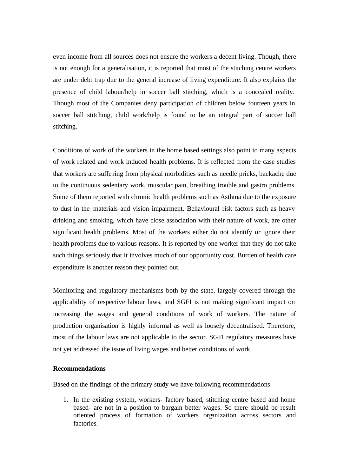even income from all sources does not ensure the workers a decent living. Though, there is not enough for a generalisation, it is reported that most of the stitching centre workers are under debt trap due to the general increase of living expenditure. It also explains the presence of child labour/help in soccer ball stitching, which is a concealed reality. Though most of the Companies deny participation of children below fourteen years in soccer ball stitching, child work/help is found to be an integral part of soccer ball stitching.

Conditions of work of the workers in the home based settings also point to many aspects of work related and work induced health problems. It is reflected from the case studies that workers are suffe ring from physical morbidities such as needle pricks, backache due to the continuous sedentary work, muscular pain, breathing trouble and gastro problems. Some of them reported with chronic health problems such as Asthma due to the exposure to dust in the materials and vision impairment. Behavioural risk factors such as heavy drinking and smoking, which have close association with their nature of work, are other significant health problems. Most of the workers either do not identify or ignore their health problems due to various reasons. It is reported by one worker that they do not take such things seriously that it involves much of our opportunity cost. Burden of health care expenditure is another reason they pointed out.

Monitoring and regulatory mechanisms both by the state, largely covered through the applicability of respective labour laws, and SGFI is not making significant impact on increasing the wages and general conditions of work of workers. The nature of production organisation is highly informal as well as loosely decentralised. Therefore, most of the labour laws are not applicable to the sector. SGFI regulatory measures have not yet addressed the issue of living wages and better conditions of work.

## **Recommendations**

Based on the findings of the primary study we have following recommendations

1. In the existing system, workers- factory based, stitching centre based and home based- are not in a position to bargain better wages. So there should be result oriented process of formation of workers organization across sectors and factories.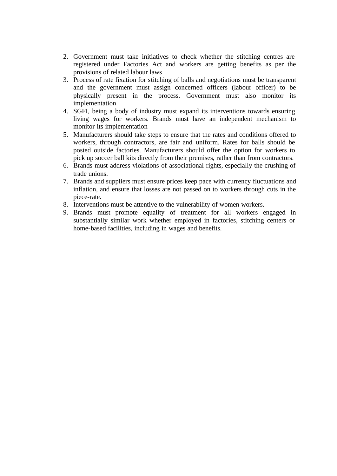- 2. Government must take initiatives to check whether the stitching centres are registered under Factories Act and workers are getting benefits as per the provisions of related labour laws
- 3. Process of rate fixation for stitching of balls and negotiations must be transparent and the government must assign concerned officers (labour officer) to be physically present in the process. Government must also monitor its implementation
- 4. SGFI, being a body of industry must expand its interventions towards ensuring living wages for workers. Brands must have an independent mechanism to monitor its implementation
- 5. Manufacturers should take steps to ensure that the rates and conditions offered to workers, through contractors, are fair and uniform. Rates for balls should be posted outside factories. Manufacturers should offer the option for workers to pick up soccer ball kits directly from their premises, rather than from contractors.
- 6. Brands must address violations of associational rights, especially the crushing of trade unions.
- 7. Brands and suppliers must ensure prices keep pace with currency fluctuations and inflation, and ensure that losses are not passed on to workers through cuts in the piece-rate.
- 8. Interventions must be attentive to the vulnerability of women workers.
- 9. Brands must promote equality of treatment for all workers engaged in substantially similar work whether employed in factories, stitching centers or home-based facilities, including in wages and benefits.